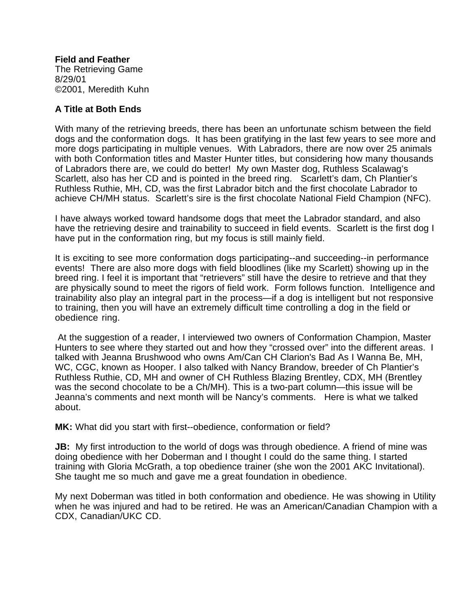## **Field and Feather**

The Retrieving Game 8/29/01 ©2001, Meredith Kuhn

## **A Title at Both Ends**

With many of the retrieving breeds, there has been an unfortunate schism between the field dogs and the conformation dogs. It has been gratifying in the last few years to see more and more dogs participating in multiple venues. With Labradors, there are now over 25 animals with both Conformation titles and Master Hunter titles, but considering how many thousands of Labradors there are, we could do better! My own Master dog, Ruthless Scalawag's Scarlett, also has her CD and is pointed in the breed ring. Scarlett's dam, Ch Plantier's Ruthless Ruthie, MH, CD, was the first Labrador bitch and the first chocolate Labrador to achieve CH/MH status. Scarlett's sire is the first chocolate National Field Champion (NFC).

I have always worked toward handsome dogs that meet the Labrador standard, and also have the retrieving desire and trainability to succeed in field events. Scarlett is the first dog I have put in the conformation ring, but my focus is still mainly field.

It is exciting to see more conformation dogs participating--and succeeding--in performance events! There are also more dogs with field bloodlines (like my Scarlett) showing up in the breed ring. I feel it is important that "retrievers" still have the desire to retrieve and that they are physically sound to meet the rigors of field work. Form follows function. Intelligence and trainability also play an integral part in the process—if a dog is intelligent but not responsive to training, then you will have an extremely difficult time controlling a dog in the field or obedience ring.

 At the suggestion of a reader, I interviewed two owners of Conformation Champion, Master Hunters to see where they started out and how they "crossed over" into the different areas. I talked with Jeanna Brushwood who owns Am/Can CH Clarion's Bad As I Wanna Be, MH, WC, CGC, known as Hooper. I also talked with Nancy Brandow, breeder of Ch Plantier's Ruthless Ruthie, CD, MH and owner of CH Ruthless Blazing Brentley, CDX, MH (Brentley was the second chocolate to be a Ch/MH). This is a two-part column—this issue will be Jeanna's comments and next month will be Nancy's comments. Here is what we talked about.

**MK:** What did you start with first--obedience, conformation or field?

**JB:** My first introduction to the world of dogs was through obedience. A friend of mine was doing obedience with her Doberman and I thought I could do the same thing. I started training with Gloria McGrath, a top obedience trainer (she won the 2001 AKC Invitational). She taught me so much and gave me a great foundation in obedience.

My next Doberman was titled in both conformation and obedience. He was showing in Utility when he was injured and had to be retired. He was an American/Canadian Champion with a CDX, Canadian/UKC CD.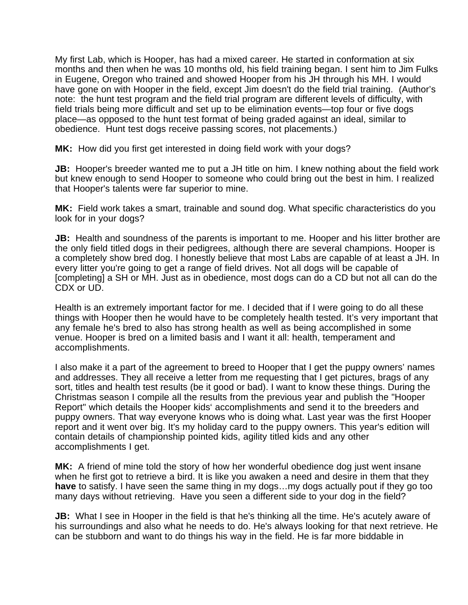My first Lab, which is Hooper, has had a mixed career. He started in conformation at six months and then when he was 10 months old, his field training began. I sent him to Jim Fulks in Eugene, Oregon who trained and showed Hooper from his JH through his MH. I would have gone on with Hooper in the field, except Jim doesn't do the field trial training. (Author's note: the hunt test program and the field trial program are different levels of difficulty, with field trials being more difficult and set up to be elimination events—top four or five dogs place—as opposed to the hunt test format of being graded against an ideal, similar to obedience. Hunt test dogs receive passing scores, not placements.)

**MK:** How did you first get interested in doing field work with your dogs?

**JB:** Hooper's breeder wanted me to put a JH title on him. I knew nothing about the field work but knew enough to send Hooper to someone who could bring out the best in him. I realized that Hooper's talents were far superior to mine.

**MK:** Field work takes a smart, trainable and sound dog. What specific characteristics do you look for in your dogs?

**JB:** Health and soundness of the parents is important to me. Hooper and his litter brother are the only field titled dogs in their pedigrees, although there are several champions. Hooper is a completely show bred dog. I honestly believe that most Labs are capable of at least a JH. In every litter you're going to get a range of field drives. Not all dogs will be capable of [completing] a SH or MH. Just as in obedience, most dogs can do a CD but not all can do the CDX or UD.

Health is an extremely important factor for me. I decided that if I were going to do all these things with Hooper then he would have to be completely health tested. It's very important that any female he's bred to also has strong health as well as being accomplished in some venue. Hooper is bred on a limited basis and I want it all: health, temperament and accomplishments.

I also make it a part of the agreement to breed to Hooper that I get the puppy owners' names and addresses. They all receive a letter from me requesting that I get pictures, brags of any sort, titles and health test results (be it good or bad). I want to know these things. During the Christmas season I compile all the results from the previous year and publish the "Hooper Report" which details the Hooper kids' accomplishments and send it to the breeders and puppy owners. That way everyone knows who is doing what. Last year was the first Hooper report and it went over big. It's my holiday card to the puppy owners. This year's edition will contain details of championship pointed kids, agility titled kids and any other accomplishments I get.

**MK:** A friend of mine told the story of how her wonderful obedience dog just went insane when he first got to retrieve a bird. It is like you awaken a need and desire in them that they **have** to satisfy. I have seen the same thing in my dogs…my dogs actually pout if they go too many days without retrieving. Have you seen a different side to your dog in the field?

**JB:** What I see in Hooper in the field is that he's thinking all the time. He's acutely aware of his surroundings and also what he needs to do. He's always looking for that next retrieve. He can be stubborn and want to do things his way in the field. He is far more biddable in